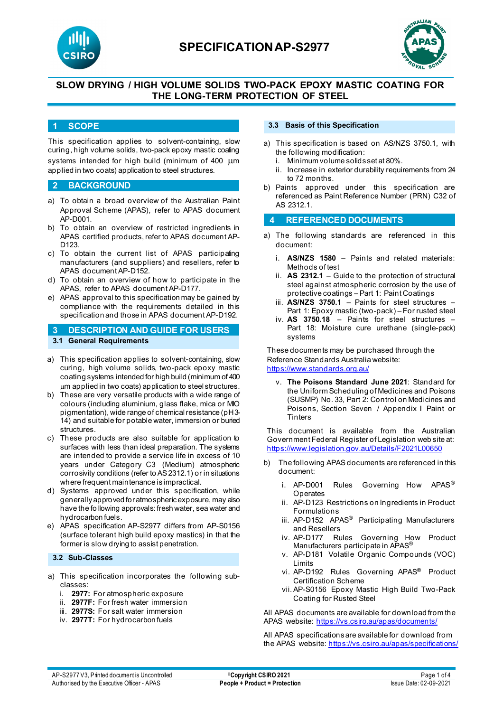



# **SLOW DRYING / HIGH VOLUME SOLIDS TWO-PACK EPOXY MASTIC COATING FOR THE LONG-TERM PROTECTION OF STEEL**

### **1 SCOPE**

This specification applies to solvent-containing, slow curing, high volume solids, two-pack epoxy mastic coating systems intended for high build (minimum of 400  $\mu$ m applied in two coats) application to steel structures.

### **2 BACKGROUND**

- a) To obtain a broad overview of the Australian Paint Approval Scheme (APAS), refer to APAS document AP-D001.
- b) To obtain an overview of restricted ingredients in APAS certified products, refer to APAS document AP-D<sub>123</sub>
- c) To obtain the current list of APAS participating manufacturers (and suppliers) and resellers, refer to APAS document AP-D152.
- d) To obtain an overview of how to participate in the APAS, refer to APAS document AP-D177.
- e) APAS approval to this specification may be gained by compliance with the requirements detailed in this specification and those in APAS document AP-D192.

# **3 DESCRIPTION AND GUIDE FOR USERS 3.1 General Requirements**

- a) This specification applies to solvent-containing, slow curing, high volume solids, two-pack epoxy mastic coating systems intended for high build (minimum of 400 µm applied in two coats) application to steel structures.
- b) These are very versatile products with a wide range of colours (including aluminium, glass flake, mica or MIO pigmentation), wide range of chemical resistance (pH 3- 14) and suitable for potable water, immersion or buried structures.
- c) These products are also suitable for application to surfaces with less than ideal preparation. The systems are intended to provide a service life in excess of 10 years under Category C3 (Medium) atmospheric corrosivity conditions (refer to AS 2312.1) or in situations where frequent maintenance is impractical.
- d) Systems approved under this specification, while generally approved for atmospheric exposure, may also have the following approvals: fresh water, sea water and hydrocarbon fuels.
- e) APAS specification AP-S2977 differs from AP-S0156 (surface tolerant high build epoxy mastics) in that the former is slow drying to assist penetration.

## **3.2 Sub-Classes**

- a) This specification incorporates the following subclasses:
	- i. **2977:** For atmospheric exposure
	- ii. **2977F:** For fresh water immersion
	- iii. **2977S:** For salt water immersion
	- iv. **2977T:** For hydrocarbon fuels

### **3.3 Basis of this Specification**

- a) This specification is based on AS/NZS 3750.1, with the following modification:
	- i. Minimum volume solids set at 80%.
	- ii. Increase in exterior durability requirements from 24 to 72 months.
- b) Paints approved under this specification are referenced as Paint Reference Number (PRN) C32 of AS 2312.1

# **4 REFERENCED DOCUMENTS**

- a) The following standards are referenced in this document:
	- i. **AS/NZS 1580** Paints and related materials: Methods of test
	- ii. **AS 2312.1** Guide to the protection of structural steel against atmospheric corrosion by the use of protective coatings – Part 1: Paint Coatings
	- iii. **AS/NZS 3750.1** Paints for steel structures Part 1: Epoxy mastic (two-pack) – For rusted steel
	- iv. **AS 3750.18** Paints for steel structures Part 18: Moisture cure urethane (single-pack) systems

These documents may be purchased through the Reference Standards Australia website: <https://www.standards.org.au/>

v. **The Poisons Standard June 2021**: Standard for the Uniform Scheduling of Medicines and Poisons (SUSMP) No. 33, Part 2: Control on Medicines and Poisons, Section Seven / Appendix I Paint or **Tinters** 

This document is available from the Australian Government Federal Register of Legislation web site at: <https://www.legislation.gov.au/Details/F2021L00650>

- b) The following APAS documents are referenced in this document:
	- i. AP-D001 Rules Governing How APAS<sup>®</sup> **Operates**
	- ii. AP-D123 Restrictions on Ingredients in Product Formulations
	- iii. AP-D152 APAS<sup>®</sup> Participating Manufacturers and Resellers
	- iv. AP-D177 Rules Governing How Product Manufacturers participate in APAS®
	- v. AP-D181 Volatile Organic Compounds (VOC) Limits
	- vi. AP-D192 Rules Governing APAS® Product Certification Scheme
	- vii. AP-S0156 Epoxy Mastic High Build Two-Pack Coating for Rusted Steel

All APAS documents are available for download from the APAS website: <https://vs.csiro.au/apas/documents/>

All APAS specificationsare available for download from the APAS website: <https://vs.csiro.au/apas/specifications/>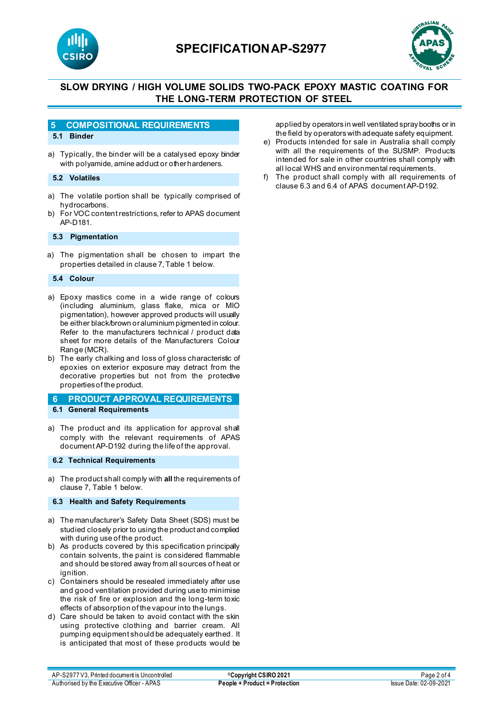

# **SPECIFICATIONAP-S2977**



# **SLOW DRYING / HIGH VOLUME SOLIDS TWO-PACK EPOXY MASTIC COATING FOR THE LONG-TERM PROTECTION OF STEEL**

## **5 COMPOSITIONAL REQUIREMENTS**

### **5.1 Binder**

a) Typically, the binder will be a catalysed epoxy binder with polyamide, amine adduct or other hardeners.

#### **5.2 Volatiles**

- a) The volatile portion shall be typically comprised of hydrocarbons.
- b) For VOC content restrictions, refer to APAS document AP-D181.

#### **5.3 Pigmentation**

a) The pigmentation shall be chosen to impart the properties detailed in clause 7, Table 1 below.

#### **5.4 Colour**

- a) Epoxy mastics come in a wide range of colours (including aluminium, glass flake, mica or MIO pigmentation), however approved products will usually be either black/brown or aluminium pigmented in colour. Refer to the manufacturers technical / product data sheet for more details of the Manufacturers Colour Range (MCR).
- b) The early chalking and loss of gloss characteristic of epoxies on exterior exposure may detract from the decorative properties but not from the protective properties of the product.

#### **6 PRODUCT APPROVAL REQUIREMENTS 6.1 General Requirements**

a) The product and its application for approval shall comply with the relevant requirements of APAS document AP-D192 during the life of the approval.

#### **6.2 Technical Requirements**

a) The product shall comply with **all** the requirements of clause 7, Table 1 below.

### **6.3 Health and Safety Requirements**

- a) The manufacturer's Safety Data Sheet (SDS) must be studied closely prior to using the product and complied with during use of the product.
- b) As products covered by this specification principally contain solvents, the paint is considered flammable and should be stored away from all sources of heat or ignition
- c) Containers should be resealed immediately after use and good ventilation provided during use to minimise the risk of fire or explosion and the long-term toxic effects of absorption of the vapour into the lungs.
- d) Care should be taken to avoid contact with the skin using protective clothing and barrier cream. All pumping equipment should be adequately earthed. It is anticipated that most of these products would be

applied by operators in well ventilated spray booths or in the field by operators with adequate safety equipment.

- e) Products intended for sale in Australia shall comply with all the requirements of the SUSMP. Products intended for sale in other countries shall comply with all local WHS and environmental requirements.
- f) The product shall comply with all requirements of clause 6.3 and 6.4 of APAS document AP-D192.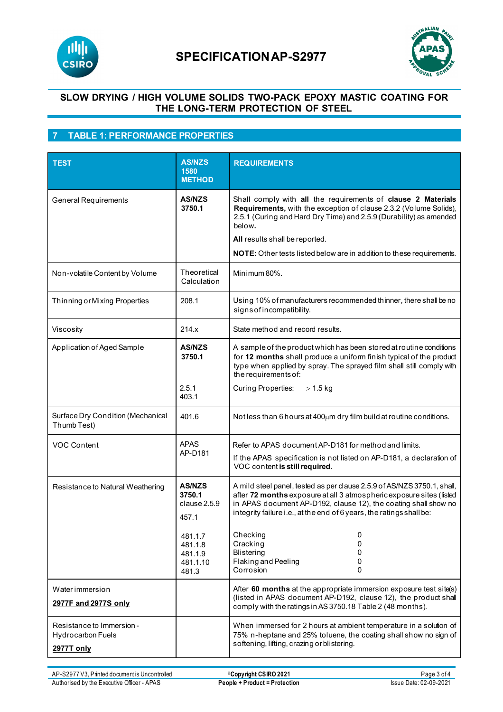



# **SLOW DRYING / HIGH VOLUME SOLIDS TWO-PACK EPOXY MASTIC COATING FOR THE LONG-TERM PROTECTION OF STEEL**

# **7 TABLE 1: PERFORMANCE PROPERTIES**

| <b>TEST</b>                                                                | <b>AS/NZS</b><br>1580<br><b>METHOD</b>                                                                 | <b>REQUIREMENTS</b>                                                                                                                                                                                                                                                                                                                                                                                  |
|----------------------------------------------------------------------------|--------------------------------------------------------------------------------------------------------|------------------------------------------------------------------------------------------------------------------------------------------------------------------------------------------------------------------------------------------------------------------------------------------------------------------------------------------------------------------------------------------------------|
| <b>General Requirements</b>                                                | <b>AS/NZS</b><br>3750.1                                                                                | Shall comply with all the requirements of clause 2 Materials<br>Requirements, with the exception of clause 2.3.2 (Volume Solids),<br>2.5.1 (Curing and Hard Dry Time) and 2.5.9 (Durability) as amended<br>below.<br>All results shall be reported.<br>NOTE: Other tests listed below are in addition to these requirements.                                                                         |
| Non-volatile Content by Volume                                             | Theoretical<br>Calculation                                                                             | Minimum 80%.                                                                                                                                                                                                                                                                                                                                                                                         |
| Thinning or Mixing Properties                                              | 208.1                                                                                                  | Using 10% of manufacturers recommended thinner, there shall be no<br>signs of incompatibility.                                                                                                                                                                                                                                                                                                       |
| Viscosity                                                                  | 214.x                                                                                                  | State method and record results.                                                                                                                                                                                                                                                                                                                                                                     |
| Application of Aged Sample                                                 | <b>AS/NZS</b><br>3750.1                                                                                | A sample of the product which has been stored at routine conditions<br>for 12 months shall produce a uniform finish typical of the product<br>type when applied by spray. The sprayed film shall still comply with<br>the requirements of:                                                                                                                                                           |
|                                                                            | 2.5.1<br>403.1                                                                                         | <b>Curing Properties:</b><br>$> 1.5$ kg                                                                                                                                                                                                                                                                                                                                                              |
| Surface Dry Condition (Mechanical<br>Thumb Test)                           | 401.6                                                                                                  | Notless than 6 hours at 400µm dry film build at routine conditions.                                                                                                                                                                                                                                                                                                                                  |
| VOC Content                                                                | <b>APAS</b><br>AP-D181                                                                                 | Refer to APAS document AP-D181 for method and limits.<br>If the APAS specification is not listed on AP-D181, a declaration of<br>VOC content is still required.                                                                                                                                                                                                                                      |
| Resistance to Natural Weathering                                           | <b>AS/NZS</b><br>3750.1<br>clause 2.5.9<br>457.1<br>481.1.7<br>481.1.8<br>481.1.9<br>481.1.10<br>481.3 | A mild steel panel, tested as per clause 2.5.9 of AS/NZS 3750.1, shall,<br>after 72 months exposure at all 3 atmospheric exposure sites (listed<br>in APAS document AP-D192, clause 12), the coating shall show no<br>integrity failure i.e., at the end of 6 years, the ratings shall be:<br>Checking<br>0<br>Cracking<br>0<br><b>Blistering</b><br>0<br>Flaking and Peeling<br>0<br>Corrosion<br>0 |
| Water immersion<br>2977F and 2977S only                                    |                                                                                                        | After 60 months at the appropriate immersion exposure test site(s)<br>(listed in APAS document AP-D192, clause 12), the product shall<br>comply with the ratings in AS 3750.18 Table 2 (48 months).                                                                                                                                                                                                  |
| Resistance to Immersion -<br><b>Hydrocarbon Fuels</b><br><b>2977T only</b> |                                                                                                        | When immersed for 2 hours at ambient temperature in a solution of<br>75% n-heptane and 25% toluene, the coating shall show no sign of<br>softening, lifting, crazing or blistering.                                                                                                                                                                                                                  |